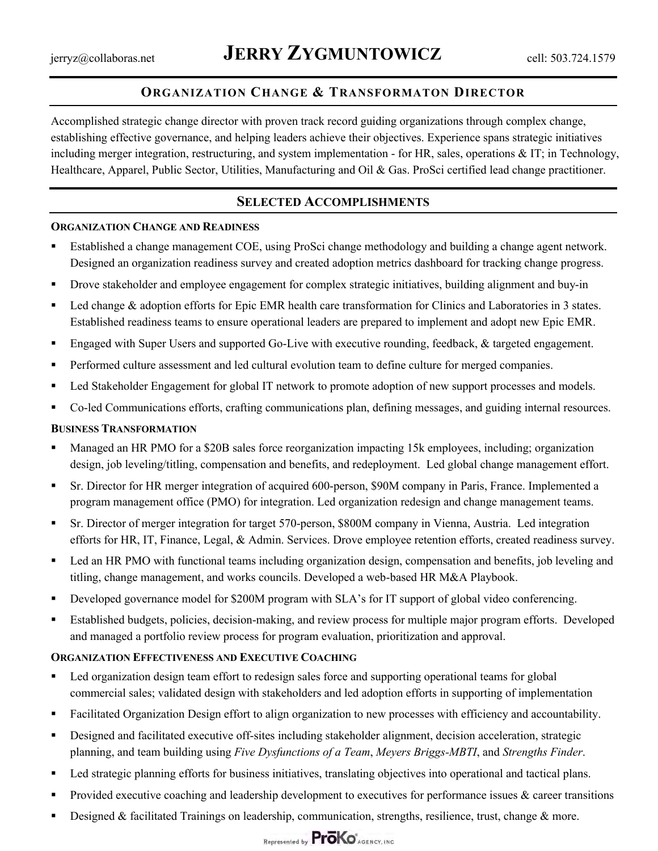## **ORGANIZATION CHANGE & TRANSFORMATON DIRECTOR**

Accomplished strategic change director with proven track record guiding organizations through complex change, establishing effective governance, and helping leaders achieve their objectives. Experience spans strategic initiatives including merger integration, restructuring, and system implementation - for HR, sales, operations & IT; in Technology, Healthcare, Apparel, Public Sector, Utilities, Manufacturing and Oil & Gas. ProSci certified lead change practitioner.

### **SELECTED ACCOMPLISHMENTS**

#### **ORGANIZATION CHANGE AND READINESS**

- Established a change management COE, using ProSci change methodology and building a change agent network. Designed an organization readiness survey and created adoption metrics dashboard for tracking change progress.
- § Drove stakeholder and employee engagement for complex strategic initiatives, building alignment and buy-in
- Led change & adoption efforts for Epic EMR health care transformation for Clinics and Laboratories in 3 states. Established readiness teams to ensure operational leaders are prepared to implement and adopt new Epic EMR.
- Engaged with Super Users and supported Go-Live with executive rounding, feedback, & targeted engagement.
- Performed culture assessment and led cultural evolution team to define culture for merged companies.
- Led Stakeholder Engagement for global IT network to promote adoption of new support processes and models.
- Co-led Communications efforts, crafting communications plan, defining messages, and guiding internal resources.

#### **BUSINESS TRANSFORMATION**

- § Managed an HR PMO for a \$20B sales force reorganization impacting 15k employees, including; organization design, job leveling/titling, compensation and benefits, and redeployment. Led global change management effort.
- Sr. Director for HR merger integration of acquired 600-person, \$90M company in Paris, France. Implemented a program management office (PMO) for integration. Led organization redesign and change management teams.
- Sr. Director of merger integration for target 570-person, \$800M company in Vienna, Austria. Led integration efforts for HR, IT, Finance, Legal, & Admin. Services. Drove employee retention efforts, created readiness survey.
- Led an HR PMO with functional teams including organization design, compensation and benefits, job leveling and titling, change management, and works councils. Developed a web-based HR M&A Playbook.
- Developed governance model for \$200M program with SLA's for IT support of global video conferencing.
- Established budgets, policies, decision-making, and review process for multiple major program efforts. Developed and managed a portfolio review process for program evaluation, prioritization and approval.

#### **ORGANIZATION EFFECTIVENESS AND EXECUTIVE COACHING**

- Led organization design team effort to redesign sales force and supporting operational teams for global commercial sales; validated design with stakeholders and led adoption efforts in supporting of implementation
- § Facilitated Organization Design effort to align organization to new processes with efficiency and accountability.
- Designed and facilitated executive off-sites including stakeholder alignment, decision acceleration, strategic planning, and team building using *Five Dysfunctions of a Team*, *Meyers Briggs-MBTI*, and *Strengths Finder*.
- Led strategic planning efforts for business initiatives, translating objectives into operational and tactical plans.
- **•** Provided executive coaching and leadership development to executives for performance issues  $\&$  career transitions
- Designed & facilitated Trainings on leadership, communication, strengths, resilience, trust, change & more.

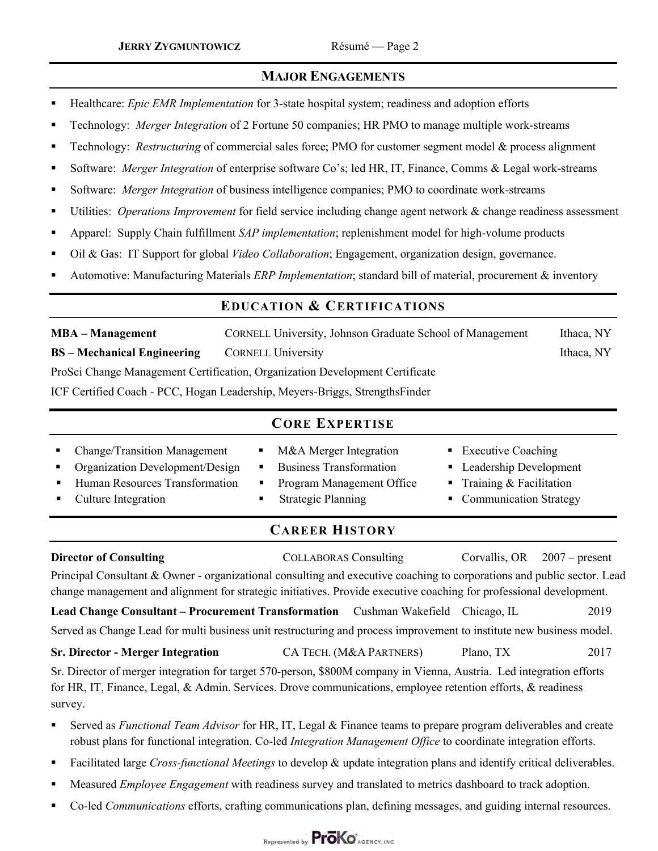## **MAJOR ENGAGEMENTS**

- § Healthcare: *Epic EMR Implementation* for 3-state hospital system; readiness and adoption efforts
- § Technology: *Merger Integration* of 2 Fortune 50 companies; HR PMO to manage multiple work-streams
- Technology: *Restructuring* of commercial sales force; PMO for customer segment model & process alignment
- § Software: *Merger Integration* of enterprise software Co's; led HR, IT, Finance, Comms & Legal work-streams
- § Software: *Merger Integration* of business intelligence companies; PMO to coordinate work-streams
- § Utilities: *Operations Improvement* for field service including change agent network & change readiness assessment
- § Apparel: Supply Chain fulfillment *SAP implementation*; replenishment model for high-volume products
- § Oil & Gas: IT Support for global *Video Collaboration*; Engagement, organization design, governance.
- § Automotive: Manufacturing Materials *ERP Implementation*; standard bill of material, procurement & inventory

## **EDUCATION & CERTIFICATIONS**

**MBA – Management** CORNELL University, Johnson Graduate School of ManagementIthaca, NY **BS – Mechanical Engineering CORNELL University Connection Connection Connection Connection Connection Connection Connection Connection Connection Connection Connection Connection Connection Connection Connection Connectio** ProSci Change Management Certification, Organization Development Certificate

ICF Certified Coach - PCC, Hogan Leadership, Meyers-Briggs, StrengthsFinder

| <b>CORE EXPERTISE</b> |                                                                                                                              |                                                                                                                                                                          |                                                                                                           |  |  |  |  |  |
|-----------------------|------------------------------------------------------------------------------------------------------------------------------|--------------------------------------------------------------------------------------------------------------------------------------------------------------------------|-----------------------------------------------------------------------------------------------------------|--|--|--|--|--|
|                       | • Change/Transition Management<br>• Organization Development/Design<br>Human Resources Transformation<br>Culture Integration | • M&A Merger Integration<br><b>Business Transformation</b><br>$\blacksquare$<br>Program Management Office<br>$\mathbf{H}$<br><b>Strategic Planning</b><br>$\blacksquare$ | ■ Executive Coaching<br>• Leadership Development<br>Training $& Facilitation$<br>• Communication Strategy |  |  |  |  |  |
| <b>CAREER HISTORY</b> |                                                                                                                              |                                                                                                                                                                          |                                                                                                           |  |  |  |  |  |

| <b>Director of Consulting</b>                                                                                                                                                                                                           |  | <b>COLLABORAS</b> Consulting |           | Corvallis, OR $2007$ – present |  |  |  |  |
|-----------------------------------------------------------------------------------------------------------------------------------------------------------------------------------------------------------------------------------------|--|------------------------------|-----------|--------------------------------|--|--|--|--|
| Principal Consultant & Owner - organizational consulting and executive coaching to corporations and public sector. Lead                                                                                                                 |  |                              |           |                                |  |  |  |  |
| change management and alignment for strategic initiatives. Provide executive coaching for professional development.                                                                                                                     |  |                              |           |                                |  |  |  |  |
| Lead Change Consultant – Procurement Transformation Cushman Wakefield Chicago, IL                                                                                                                                                       |  |                              |           | 2019                           |  |  |  |  |
| Served as Change Lead for multi business unit restructuring and process improvement to institute new business model.                                                                                                                    |  |                              |           |                                |  |  |  |  |
| <b>Sr. Director - Merger Integration</b>                                                                                                                                                                                                |  | CA TECH. (M&A PARTNERS)      | Plano. TX | 2017                           |  |  |  |  |
| Sr. Director of merger integration for target 570-person, \$800M company in Vienna, Austria. Led integration efforts                                                                                                                    |  |                              |           |                                |  |  |  |  |
| for HR, IT, Finance, Legal, & Admin. Services. Drove communications, employee retention efforts, & readiness                                                                                                                            |  |                              |           |                                |  |  |  |  |
| survey.                                                                                                                                                                                                                                 |  |                              |           |                                |  |  |  |  |
| Served as <i>Functional Team Advisor</i> for HR, IT, Legal & Finance teams to prepare program deliverables and create<br>reduct plans for functional integration Co led Integration Managament Office to coordinate integration offerts |  |                              |           |                                |  |  |  |  |

- robust plans for functional integration. Co-led *Integration Management Office* to coordinate integration efforts.
- § Facilitated large *Cross-functional Meetings* to develop & update integration plans and identify critical deliverables.
- § Measured *Employee Engagement* with readiness survey and translated to metrics dashboard to track adoption.
- § Co-led *Communications* efforts, crafting communications plan, defining messages, and guiding internal resources.